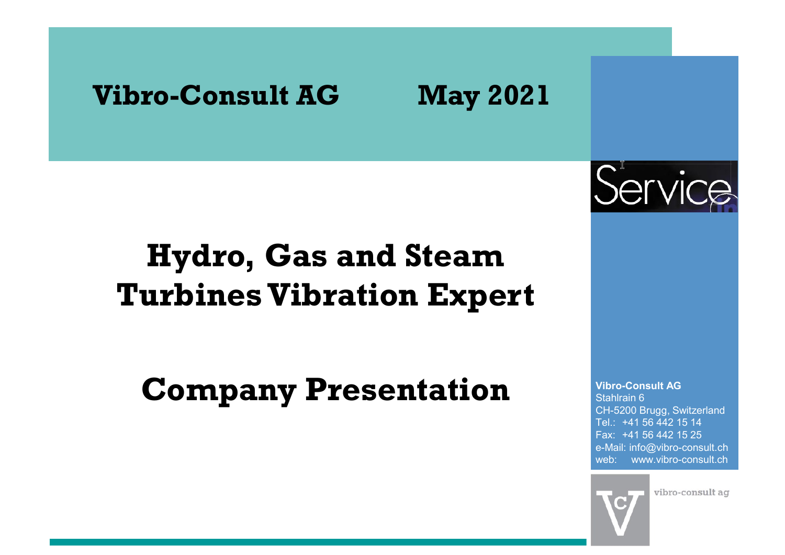# Vibro-Consult AG May 2021

# Hydro, Gas and Steam Turbines Vibration Expert

Company Presentation



Vibro-Consult AG Stahlrain 6 CH-5200 Brugg, Switzerland Vibro-Consult AG<br>Stahlrain 6<br>CH-5200 Brugg, Switzerland<br>Tel.: +41 56 442 15 14<br>Fax: +41 56 442 15 25<br>e-Mail: info@vibro-consult.ch<br>web: www.vibro-consult.ch Vibro-Consult AG<br>Stahlrain 6<br>CH-5200 Brugg, Switzerland<br>Tel.: +41 56 442 15 14<br>Fax: +41 56 442 15 25<br>e-Mail: info@vibro-consult.ch<br>web: www.vibro-consult.ch<br>web: www.vibro-consult.ch<br>vibro-consult ag e-Mail: info@vibro-consult.ch web: www.vibro-consult.ch **AG**<br>Switzerland<br>2 15 14<br>2 15 25<br>ro-consult.ch<br>ro-consult.ch<br>co-consult ag

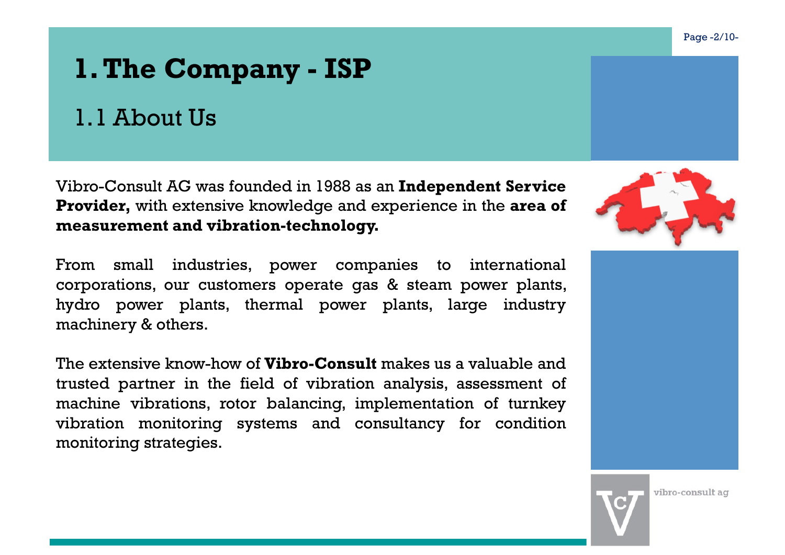# 1. The Company - ISP<br>1.1 About Us

### 1.1 About Us

**1. The Company - ISP**<br>
1.1 About Us<br>
Vibro-Consult AG was founded in 1988 as an Independent Service<br>
Provider, with extensive knowledge and experience in the area of<br>
measurement and vibration-technology. **1. The Company - ISP**<br>
1.1 About Us<br>
Vibro-Consult AG was founded in 1988 as an Independent Service<br>
Provider, with extensive knowledge and experience in the area of<br>
measurement and vibration-technology.<br>
From small indu **1. The Company - ISP**<br>
1.1 About Us<br>
Vibro-Consult AG was founded in 1988 as an Independent S<br> **Provider**, with extensive knowledge and experience in the a<br>
measurement and vibration-technology.<br>
From small industries, po

**1. The Company - ISP**<br>
1.1 About Us<br>
Vibro-Consult AG was founded in 1988 as an **Independent Service**<br> **Provider**, with extensive knowledge and experience in the area of<br>
measurement and vibration-technology.<br>
From small **1. The Company - ISP**<br>
1.1 About Us<br>
Vibro-Consult AG was founded in 1988 as an Independent Service<br>
Provider, with extensive knowledge and experience in the area of<br>
measurement and vibration-technology.<br>
From small indu **hermal Properties Company - ISP**<br>
1.1 About Us<br>
Vibro-Consult AG was founded in 1988 as an **Independent Service**<br> **Provider,** with extensive knowledge and experience in the area of<br>
measurement and **vibration-technology.** 1.1 About Us<br>
Vibro-Consult AG was founded in 1988 as an **Indeper**<br> **Provider**, with extensive knowledge and experience<br>
measurement and vibration-technology.<br>
From small industries, power companies to<br>
corporations, our c Vibro-Consult AG was founded in 1988 as an **Independent Service**<br> **Provider**, with extensive knowledge and experience in the area of<br> **measurement and vibration-technology.**<br>
From small industries, power companies to inter

Vibro-Consult AG was founded in 1988 as an **Independent Service**<br> **Provider,** with extensive knowledge and experience in the area of<br> **reasurement and vibration-technology.**<br>
From small industries, power companies to inter Vibro-Consult AG was founded in 1988 as an **Independent Service**<br> **Provider**, with extensive knowledge and experience in the area of<br>
measurement and vibration-technology.<br>
From small industries, power companies to interna VIBro-Consult AG was founded in 1988 as an **Independent Service**<br> **Provider**, with extensive knowledge and experience in the area of<br>
measurement and vibration-technology.<br>
From small industries, power companies to interna **Provider, with extensive knowledge and experienc measurement and vibration-technology.**<br>From small industries, power companies to corporations, our customers operate gas & steam hydro power plants, thermal power plants, m





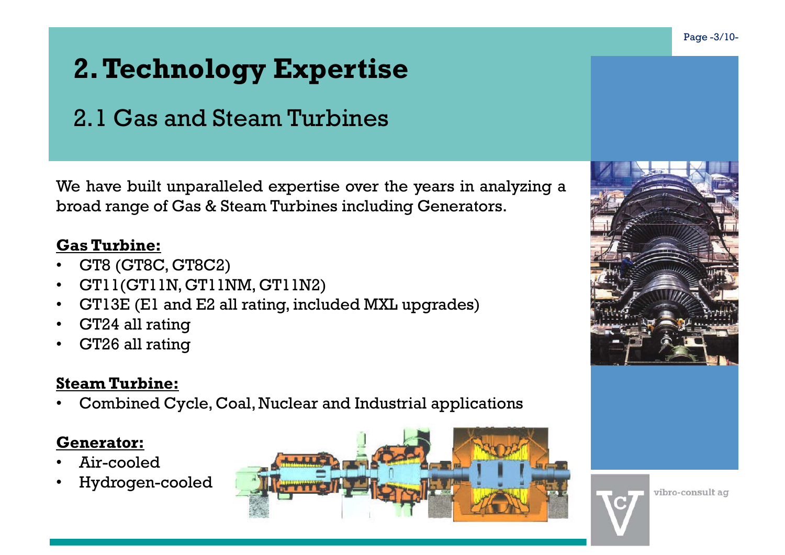# 2. Te<mark>chnology Expertise</mark><br>2.1 Gas and Steam Turbines 2. Technology Expertise<br>2.1 Gas and Steam Turbines<br>a have built unperalleled expertise area the wears in analyzing a

**2. Technology Expertise**<br>
2.1 Gas and Steam Turbines<br>
We have built unparalleled expertise over the years in analyzing a<br>
broad range of Gas & Steam Turbines including Generators.<br>
Gas Turbine: **2. Technology Expertise**<br>
2.1 Gas and Steam Turbines<br>
We have built unparalleled expertise over the years in analyzing a<br>
broad range of Gas & Steam Turbines including Generators.<br> **Gas Turbine:**<br>
• GT8 (GT8C. GT8C2) **2. Technology Expertis:**<br>
2. I Gas and Steam Turbines<br>
We have built unparalleled expertise over th<br>
broad range of Gas & Steam Turbines includii<br> **Gas Turbine:**<br>
• GT8 (GT8C, GT8C2)<br>
• GT11(GT11N, GT11NM, GT11N2)<br>
• GT1

- GT8 (GT8C, GT8C2)
- GT11(GT11N, GT11NM, GT11N2)
- GT13E (E1 and E2 all rating, included MXL upgrades)
- GT24 all rating
- GT26 all rating

### Steam Turbine:

• Combined Cycle, Coal, Nuclear and Industrial applications

### Generator:

- Air-cooled
- Hydrogen-cooled





vibro-consult ag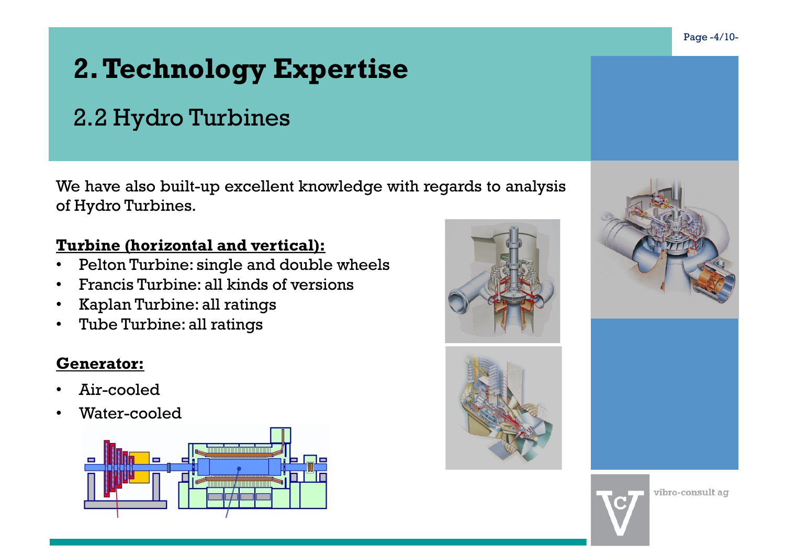### 2.2 Hydro Turbines

**2. Technology Expertise**<br>
2.2 Hydro Turbines<br>
We have also built-up excellent knowledge with regards to analysis<br>
of Hydro Turbines.<br>
Turbine (horizontal and vertical): **2. Technology Expertise**<br>
2.2 Hydro Turbines<br>
We have also built-up excellent knowledge with r<br>
of Hydro Turbines.<br>
Turbine (horizontal and vertical):<br>
• Pelton Turbine: single and double wheels

### Turbine (horizontal and vertical):

- Pelton Turbine: single and double wheels
- Francis Turbine: all kinds of versions
- Kaplan Turbine: all ratings
- Tube Turbine: all ratings

### Generator:

- Air-cooled
- Water-cooled









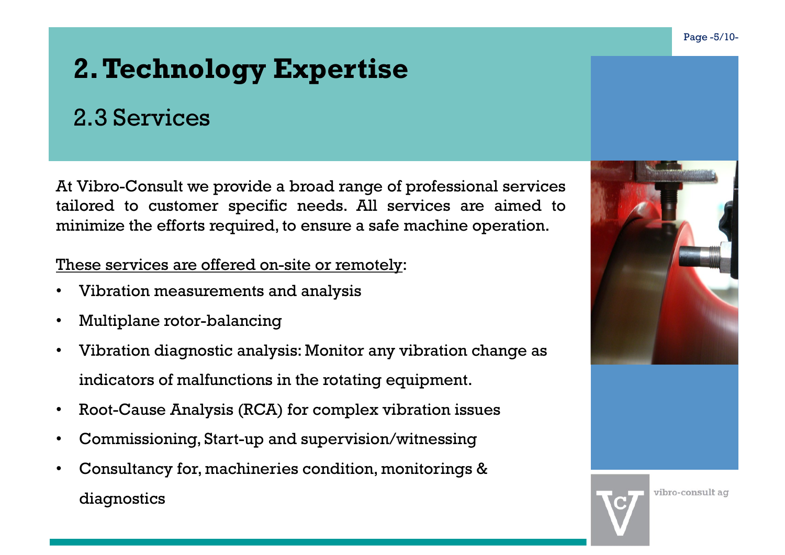### 2.3 Services

**2. Technology Expertise**<br>
2.3 Services<br>
At Vibro-Consult we provide a broad range of professional services<br>
tailored to customer specific needs. All services are aimed to<br>
minimize the efforts required, to ensure a safe m **2. Technology Expertise**<br>
2.3 Services<br>
At Vibro-Consult we provide a broad range of professional services<br>
At Vibro-Consult we provide a broad range of professional services<br>
tailored to customer specific needs. All ser **2. Technology Expertise**<br>
2.3 Services<br>
At Vibro-Consult we provide a broad range of professional services<br>
tailored to customer specific needs. All services are aimed to<br>
minimize the efforts required, to ensure a safe m **2. Technology Expertise**<br>
2.3 Services<br>
At Vibro-Consult we provide a broad range of professional services<br>
tailored to customer specific needs. All services are aimed to<br>
minimize the efforts required, to ensure a safe m

- 
- Multiplane rotor-balancing
- Vibration diagnostic analysis: Monitor any vibration change as indicators of malfunctions in the rotating equipment.
- Root-Cause Analysis (RCA) for complex vibration issues
- Commissioning, Start-up and supervision/witnessing
- Consultancy for, machineries condition, monitorings & diagnostics

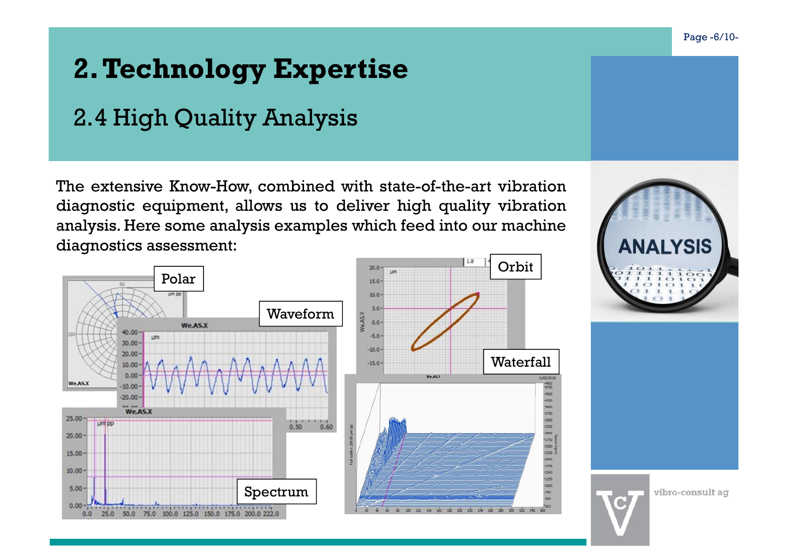### 2.4 High Quality Analysis

**2. Technology Expertise**<br>
2.4 High Quality Analysis<br>
The extensive Know-How, combined with state-of-the-art vibration<br>
diagnostic equipment, allows us to deliver high quality vibration<br>
diagnostics assessment:<br>
diagnosti **2. Technology Expertise**<br>
2.4 High Quality Analysis<br>
The extensive Know-How, combined with state-of-the-art vibration<br>
diagnostic equipment, allows us to deliver high quality vibration<br>
diagnostics assessment:<br>
diagnosti **2. Technology Expertise**<br>2.4 High Quality Analysis<br>The extensive Know-How, combined with state-of-the-art vibration<br>diagnostic equipment, allows us to deliver high quality vibration<br>analysis. Here some analysis examples **2. Technology Expertise**<br>
2.4 High Quality Analysis<br>
The extensive Know-How, combined with state-of-th<br>
diagnostic equipment, allows us to deliver high qualysis. Here some analysis examples which feed in<br>
diagnostics ass







vibro-consult ag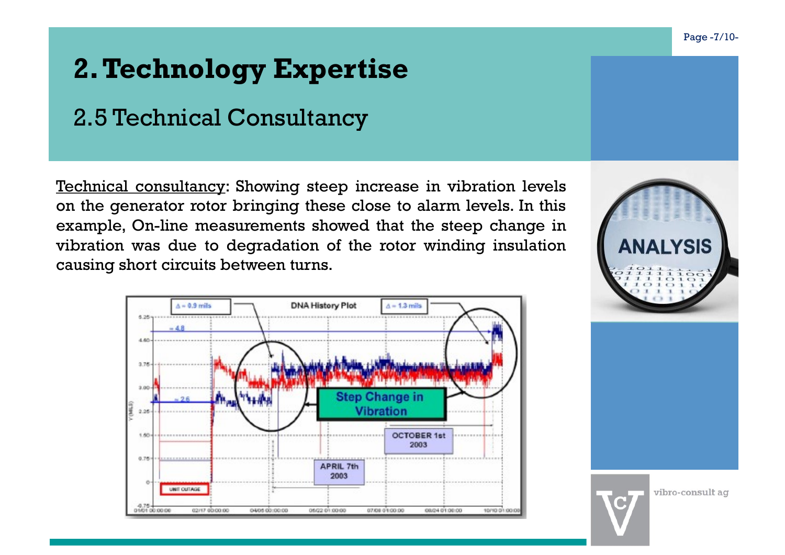### 2.5 Technical Consultancy

**2. Technology Expertise**<br>
2.5 Technical Consultancy<br>
Technical consultancy: Showing steep increase in vibration levels<br>
on the generator rotor bringing these close to alarm levels. In this<br>
example, On-line measurements **2. Technology Expertise**<br>
2.5 Technical Consultancy<br>
Technical consultancy: Showing steep increase in vibration levels<br>
on the generator rotor bringing these close to alarm levels. In this<br>
example, On-line measurements **2. Technical Consultancy<br>
2.5 Technical Consultancy<br>
Technical consultancy:** Showing steep increase in vibration levels<br>
on the generator rotor bringing these close to alarm levels. In this<br>
example, On-line measurements **2. Technical Consultancy**<br>
2.5 Technical Consultancy<br>
Technical consultancy: Showing steep increase in vibration levels<br>
on the generator rotor bringing these close to alarm levels. In this<br>
example, On-line measurements **2. Technical Consultancy<br>
2.5 Technical Consultancy**<br>
Technical consultancy: Showing steep increase in vibration levels<br>
on the generator rotor bringing these close to alarm levels. In this<br>
example, On-line measurements





vibro-consult ag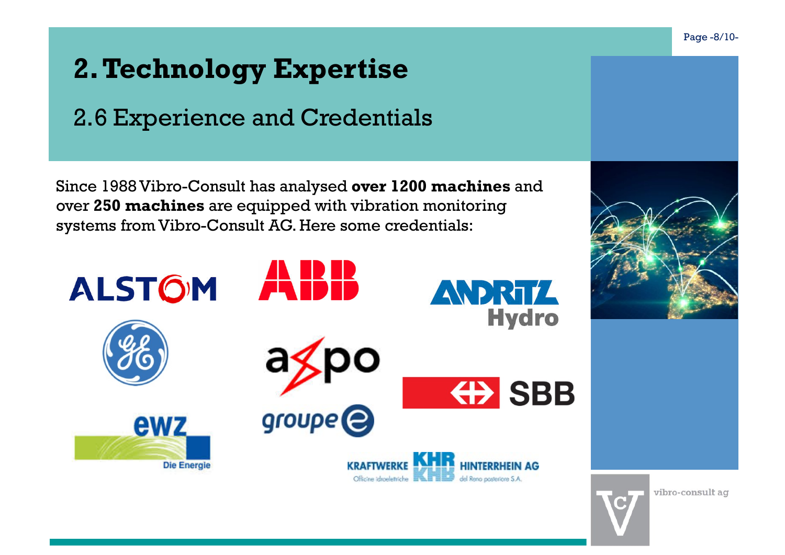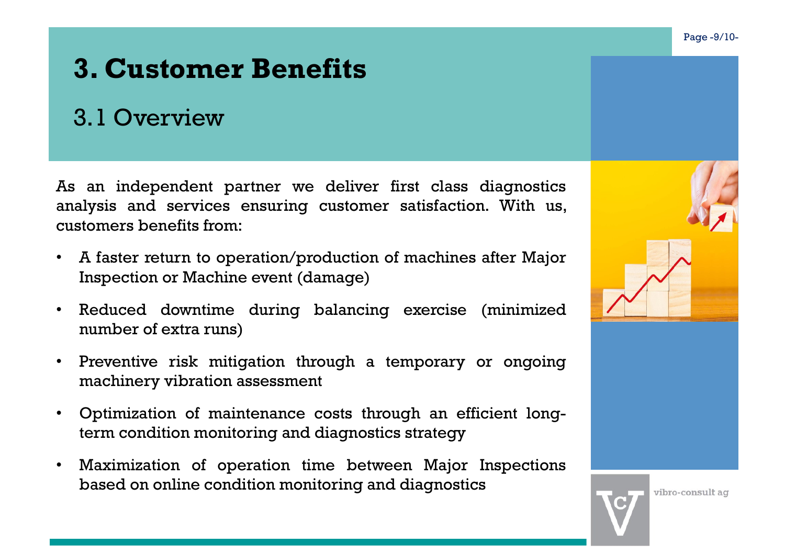### 3. Customer Benefits

### 3.1 Overview

**3. Customer Benefits**<br>
3.1 Overview<br>
an independent partner we deliver first class diagnostics<br>
ulysis and services ensuring customer satisfaction. With us,<br>
tomers benefits from:<br>
A faster return to operation/production 3.1 Overview<br>
an independent partner we deliver first class diag<br>
ulysis and services ensuring customer satisfaction. W<br>
tomers benefits from:<br>
A faster return to operation/production of machines afte<br>
Inspection or Machin

- 
- 
- 
- 
-